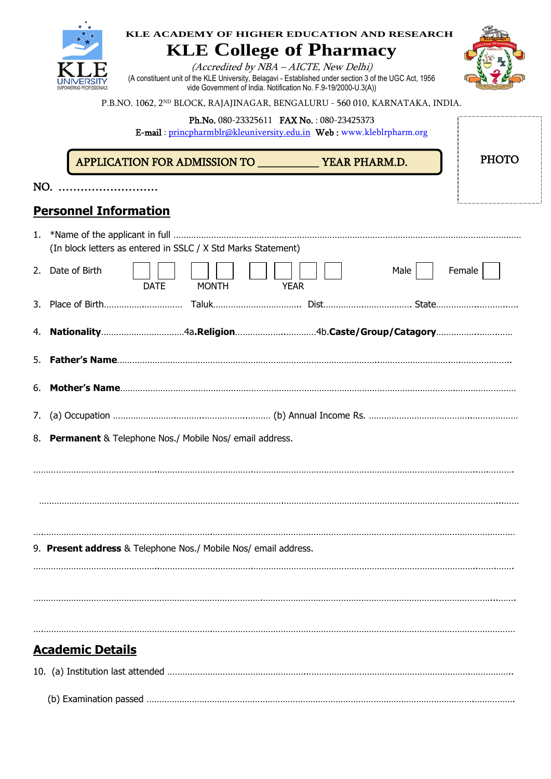|     | KLE ACADEMY OF HIGHER EDUCATION AND RESEARCH<br><b>KLE College of Pharmacy</b>                                                                                                                                     |  |  |  |  |
|-----|--------------------------------------------------------------------------------------------------------------------------------------------------------------------------------------------------------------------|--|--|--|--|
|     | (Accredited by NBA - AICTE, New Delhi)<br>(A constituent unit of the KLE University, Belagavi - Established under section 3 of the UGC Act, 1956<br>vide Government of India. Notification No. F.9-19/2000-U.3(A)) |  |  |  |  |
|     | P.B.NO. 1062, 2 <sup>ND</sup> BLOCK, RAJAJINAGAR, BENGALURU - 560 010, KARNATAKA, INDIA.                                                                                                                           |  |  |  |  |
|     | Ph.No. 080-23325611 FAX No.: 080-23425373<br>E-mail: princpharmblr@kleuniversity.edu.in Web: www.kleblrpharm.org                                                                                                   |  |  |  |  |
|     | <b>PHOTO</b>                                                                                                                                                                                                       |  |  |  |  |
| NO. |                                                                                                                                                                                                                    |  |  |  |  |
|     | <b>Personnel Information</b>                                                                                                                                                                                       |  |  |  |  |
| 1.  | (In block letters as entered in SSLC / X Std Marks Statement)                                                                                                                                                      |  |  |  |  |
|     | 2. Date of Birth<br>Male<br>Female<br><b>DATE</b><br><b>MONTH</b><br><b>YEAR</b>                                                                                                                                   |  |  |  |  |
|     |                                                                                                                                                                                                                    |  |  |  |  |
| 4.  |                                                                                                                                                                                                                    |  |  |  |  |
| 5.  |                                                                                                                                                                                                                    |  |  |  |  |
| 6.  |                                                                                                                                                                                                                    |  |  |  |  |
| 7.  |                                                                                                                                                                                                                    |  |  |  |  |
| 8.  | Permanent & Telephone Nos./ Mobile Nos/ email address.                                                                                                                                                             |  |  |  |  |
|     |                                                                                                                                                                                                                    |  |  |  |  |
|     |                                                                                                                                                                                                                    |  |  |  |  |
|     |                                                                                                                                                                                                                    |  |  |  |  |
|     | 9. Present address & Telephone Nos./ Mobile Nos/ email address.                                                                                                                                                    |  |  |  |  |
|     |                                                                                                                                                                                                                    |  |  |  |  |
|     |                                                                                                                                                                                                                    |  |  |  |  |
|     |                                                                                                                                                                                                                    |  |  |  |  |
|     | <b>Academic Details</b>                                                                                                                                                                                            |  |  |  |  |
|     |                                                                                                                                                                                                                    |  |  |  |  |

 $\star$ 

|--|--|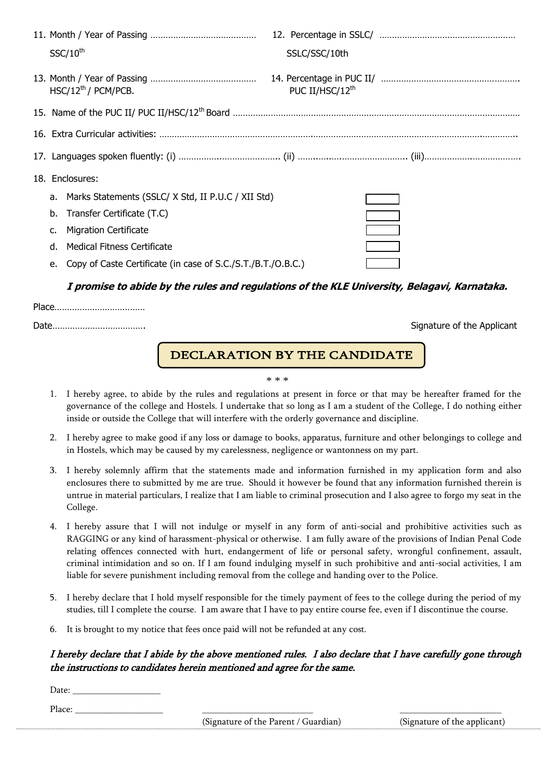|    | $SSC/10^{th}$                                                | SSLC/SSC/10th               |  |
|----|--------------------------------------------------------------|-----------------------------|--|
|    | $HSC/12^{th}/$ PCM/PCB.                                      | PUC II/HSC/12 <sup>th</sup> |  |
|    |                                                              |                             |  |
|    |                                                              |                             |  |
|    |                                                              |                             |  |
|    | 18. Enclosures:                                              |                             |  |
|    | a. Marks Statements (SSLC/X Std, II P.U.C / XII Std)         |                             |  |
| b. | Transfer Certificate (T.C)                                   |                             |  |
|    | <b>Migration Certificate</b>                                 |                             |  |
| d. | Medical Fitness Certificate                                  |                             |  |
| е. | Copy of Caste Certificate (in case of S.C./S.T./B.T./O.B.C.) |                             |  |

## **I promise to abide by the rules and regulations of the KLE University, Belagavi, Karnataka.**

Signature of the Applicant

## $\overline{a}$ DECLARATION BY THE CANDIDATE

\* \* \*

- 1. I hereby agree, to abide by the rules and regulations at present in force or that may be hereafter framed for the governance of the college and Hostels. I undertake that so long as I am a student of the College, I do nothing either inside or outside the College that will interfere with the orderly governance and discipline.
- 2. I hereby agree to make good if any loss or damage to books, apparatus, furniture and other belongings to college and in Hostels, which may be caused by my carelessness, negligence or wantonness on my part.
- 3. I hereby solemnly affirm that the statements made and information furnished in my application form and also enclosures there to submitted by me are true. Should it however be found that any information furnished therein is untrue in material particulars, I realize that I am liable to criminal prosecution and I also agree to forgo my seat in the College.
- 4. I hereby assure that I will not indulge or myself in any form of anti-social and prohibitive activities such as RAGGING or any kind of harassment-physical or otherwise. I am fully aware of the provisions of Indian Penal Code relating offences connected with hurt, endangerment of life or personal safety, wrongful confinement, assault, criminal intimidation and so on. If I am found indulging myself in such prohibitive and anti-social activities, I am liable for severe punishment including removal from the college and handing over to the Police.
- 5. I hereby declare that I hold myself responsible for the timely payment of fees to the college during the period of my studies, till I complete the course. I am aware that I have to pay entire course fee, even if I discontinue the course.
- 6. It is brought to my notice that fees once paid will not be refunded at any cost.

## I hereby declare that I abide by the above mentioned rules. I also declare that I have carefully gone through the instructions to candidates herein mentioned and agree for the same.

Date:

Place: